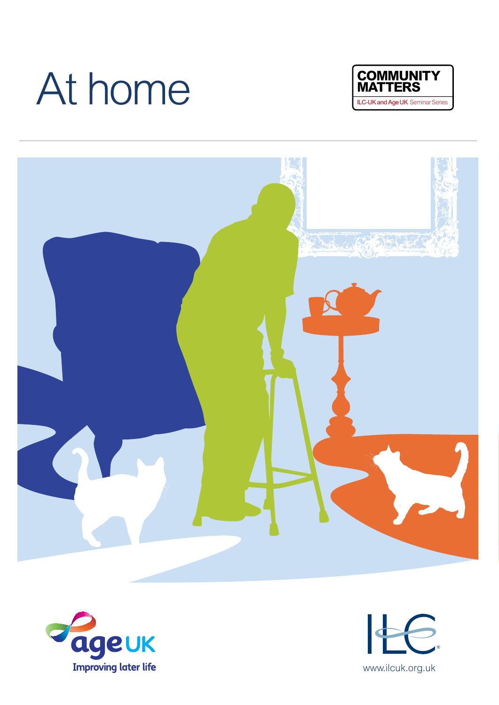# At home International At home International Series International Age UK Seminar Series







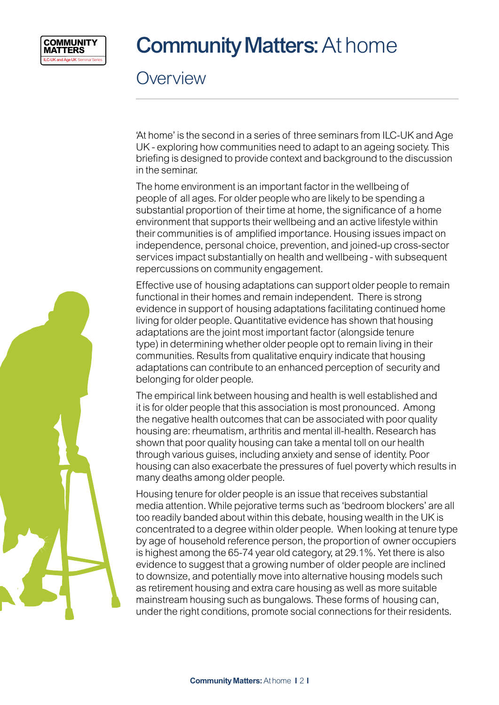

## **Community Matters: At home**

**Overview** 

'At home' is the second in a series of three seminars from ILC-UK and Age UK - exploring how communities need to adapt to an ageing society. This briefing is designed to provide context and background to the discussion in the seminar.

The home environment is an important factor in the wellbeing of people of all ages. For older people who are likely to be spending a substantial proportion of their time at home, the significance of a home environment that supports their wellbeing and an active lifestyle within their communities is of amplified importance. Housing issues impact on independence, personal choice, prevention, and joined-up cross-sector services impact substantially on health and wellbeing - with subsequent repercussions on community engagement.

Effective use of housing adaptations can support older people to remain functional in their homes and remain independent. There is strong evidence in support of housing adaptations facilitating continued home living for older people. Quantitative evidence has shown that housing adaptations are the joint most important factor (alongside tenure type) in determining whether older people opt to remain living in their communities. Results from qualitative enquiry indicate that housing adaptations can contribute to an enhanced perception of security and belonging for older people.

The empirical link between housing and health is well established and it is for older people that this association is most pronounced. Among the negative health outcomes that can be associated with poor quality housing are: rheumatism, arthritis and mental ill-health. Research has shown that poor quality housing can take a mental toll on our health through various guises, including anxiety and sense of identity. Poor housing can also exacerbate the pressures of fuel poverty which results in many deaths among older people.

Housing tenure for older people is an issue that receives substantial media attention. While pejorative terms such as 'bedroom blockers' are all too readily banded about within this debate, housing wealth in the UK is concentrated to a degree within older people. When looking at tenure type by age of household reference person, the proportion of owner occupiers is highest among the 65-74 year old category, at 29.1%. Yet there is also evidence to suggest that a growing number of older people are inclined to downsize, and potentially move into alternative housing models such as retirement housing and extra care housing as well as more suitable mainstream housing such as bungalows. These forms of housing can, under the right conditions, promote social connections for their residents.

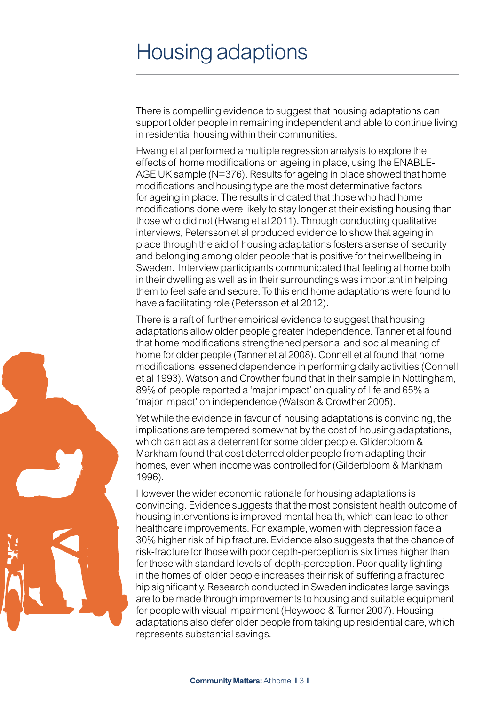#### Housing adaptions

There is compelling evidence to suggest that housing adaptations can support older people in remaining independent and able to continue living in residential housing within their communities.

Hwang et al performed a multiple regression analysis to explore the effects of home modifications on ageing in place, using the ENABLE-AGE UK sample (N=376). Results for ageing in place showed that home modifications and housing type are the most determinative factors for ageing in place. The results indicated that those who had home modifications done were likely to stay longer at their existing housing than those who did not (Hwang et al 2011). Through conducting qualitative interviews, Petersson et al produced evidence to show that ageing in place through the aid of housing adaptations fosters a sense of security and belonging among older people that is positive for their wellbeing in Sweden. Interview participants communicated that feeling at home both in their dwelling as well as in their surroundings was important in helping them to feel safe and secure. To this end home adaptations were found to have a facilitating role (Petersson et al 2012).

There is a raft of further empirical evidence to suggest that housing adaptations allow older people greater independence. Tanner et al found that home modifications strengthened personal and social meaning of home for older people (Tanner et al 2008). Connell et al found that home modifications lessened dependence in performing daily activities (Connell et al 1993). Watson and Crowther found that in their sample in Nottingham, 89% of people reported a 'major impact' on quality of life and 65% a 'major impact' on independence (Watson & Crowther 2005).

Yet while the evidence in favour of housing adaptations is convincing, the implications are tempered somewhat by the cost of housing adaptations, which can act as a deterrent for some older people. Gliderbloom & Markham found that cost deterred older people from adapting their homes, even when income was controlled for (Gilderbloom & Markham 1996).

However the wider economic rationale for housing adaptations is convincing. Evidence suggests that the most consistent health outcome of housing interventions is improved mental health, which can lead to other healthcare improvements. For example, women with depression face a 30% higher risk of hip fracture. Evidence also suggests that the chance of risk-fracture for those with poor depth-perception is six times higher than for those with standard levels of depth-perception. Poor quality lighting in the homes of older people increases their risk of suffering a fractured hip significantly. Research conducted in Sweden indicates large savings are to be made through improvements to housing and suitable equipment for people with visual impairment (Heywood & Turner 2007). Housing adaptations also defer older people from taking up residential care, which represents substantial savings.

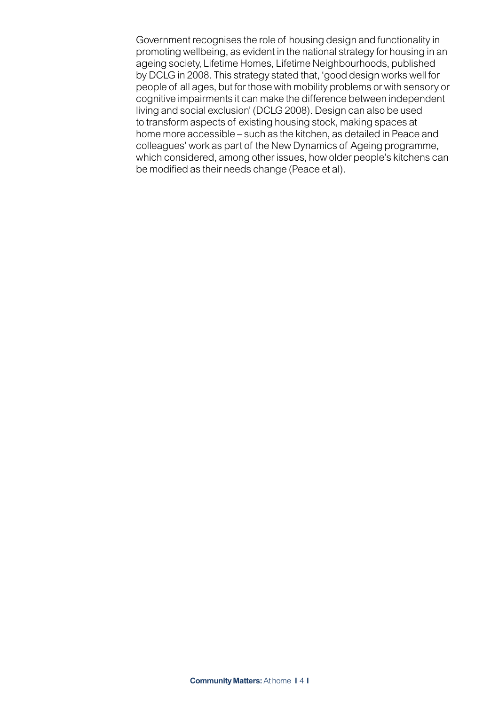Government recognises the role of housing design and functionality in promoting wellbeing, as evident in the national strategy for housing in an ageing society, Lifetime Homes, Lifetime Neighbourhoods, published by DCLG in 2008. This strategy stated that, 'good design works well for people of all ages, but for those with mobility problems or with sensory or cognitive impairments it can make the difference between independent living and social exclusion' (DCLG 2008). Design can also be used to transform aspects of existing housing stock, making spaces at home more accessible – such as the kitchen, as detailed in Peace and colleagues' work as part of the New Dynamics of Ageing programme, which considered, among other issues, how older people's kitchens can be modified as their needs change (Peace et al).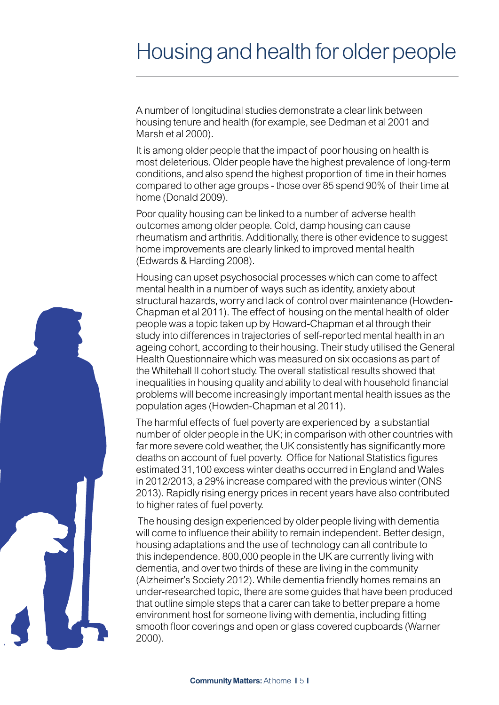## Housing and health for older people

A number of longitudinal studies demonstrate a clear link between housing tenure and health (for example, see Dedman et al 2001 and Marsh et al 2000).

It is among older people that the impact of poor housing on health is most deleterious. Older people have the highest prevalence of long-term conditions, and also spend the highest proportion of time in their homes compared to other age groups - those over 85 spend 90% of their time at home (Donald 2009).

Poor quality housing can be linked to a number of adverse health outcomes among older people. Cold, damp housing can cause rheumatism and arthritis. Additionally, there is other evidence to suggest home improvements are clearly linked to improved mental health (Edwards & Harding 2008).

Housing can upset psychosocial processes which can come to affect mental health in a number of ways such as identity, anxiety about structural hazards, worry and lack of control over maintenance (Howden-Chapman et al 2011). The effect of housing on the mental health of older people was a topic taken up by Howard-Chapman et al through their study into differences in trajectories of self-reported mental health in an ageing cohort, according to their housing. Their study utilised the General Health Questionnaire which was measured on six occasions as part of the Whitehall II cohort study. The overall statistical results showed that inequalities in housing quality and ability to deal with household financial problems will become increasingly important mental health issues as the population ages (Howden-Chapman et al 2011).

The harmful effects of fuel poverty are experienced by a substantial number of older people in the UK; in comparison with other countries with far more severe cold weather, the UK consistently has significantly more deaths on account of fuel poverty. Office for National Statistics figures estimated 31,100 excess winter deaths occurred in England and Wales in 2012/2013, a 29% increase compared with the previous winter (ONS 2013). Rapidly rising energy prices in recent years have also contributed to higher rates of fuel poverty.

The housing design experienced by older people living with dementia will come to influence their ability to remain independent. Better design, housing adaptations and the use of technology can all contribute to this independence. 800,000 people in the UK are currently living with dementia, and over two thirds of these are living in the community (Alzheimer's Society 2012). While dementia friendly homes remains an under-researched topic, there are some guides that have been produced that outline simple steps that a carer can take to better prepare a home environment host for someone living with dementia, including fitting smooth floor coverings and open or glass covered cupboards (Warner 2000).

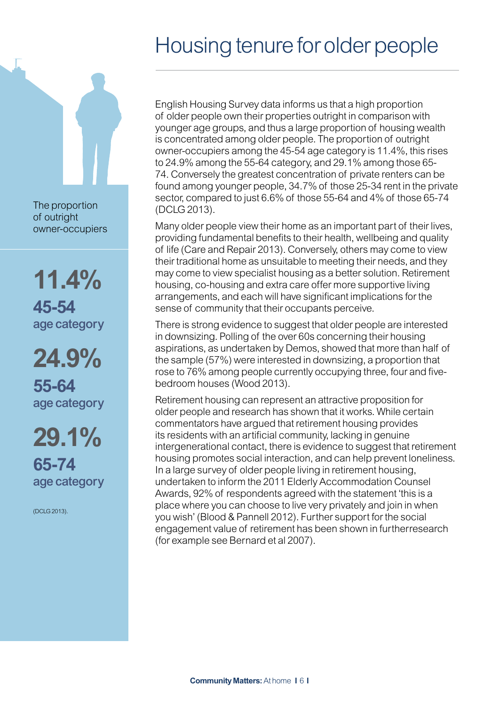## Housing tenure for older people

English Housing Survey data informs us that a high proportion of older people own their properties outright in comparison with younger age groups, and thus a large proportion of housing wealth is concentrated among older people. The proportion of outright owner-occupiers among the 45-54 age category is 11.4%, this rises to 24.9% among the 55-64 category, and 29.1% among those 65- 74. Conversely the greatest concentration of private renters can be found among younger people, 34.7% of those 25-34 rent in the private sector, compared to just 6.6% of those 55-64 and 4% of those 65-74 (DCLG 2013).

Many older people view their home as an important part of their lives, providing fundamental benefits to their health, wellbeing and quality of life (Care and Repair 2013). Conversely, others may come to view their traditional home as unsuitable to meeting their needs, and they may come to view specialist housing as a better solution. Retirement housing, co-housing and extra care offer more supportive living arrangements, and each will have significant implications for the sense of community that their occupants perceive.

There is strong evidence to suggest that older people are interested in downsizing. Polling of the over 60s concerning their housing aspirations, as undertaken by Demos, showed that more than half of the sample (57%) were interested in downsizing, a proportion that rose to 76% among people currently occupying three, four and fivebedroom houses (Wood 2013).

Retirement housing can represent an attractive proposition for older people and research has shown that it works. While certain commentators have argued that retirement housing provides its residents with an artificial community, lacking in genuine intergenerational contact, there is evidence to suggest that retirement housing promotes social interaction, and can help prevent loneliness. In a large survey of older people living in retirement housing, undertaken to inform the 2011 Elderly Accommodation Counsel Awards, 92% of respondents agreed with the statement 'this is a place where you can choose to live very privately and join in when you wish' (Blood & Pannell 2012). Further support for the social engagement value of retirement has been shown in furtherresearch (for example see Bernard et al 2007).

The proportion of outright owner-occupiers

**11.4% 45-54**  age category

**24.9% 55-64** age category

**29.1% 65-74** age category

(DCLG 2013).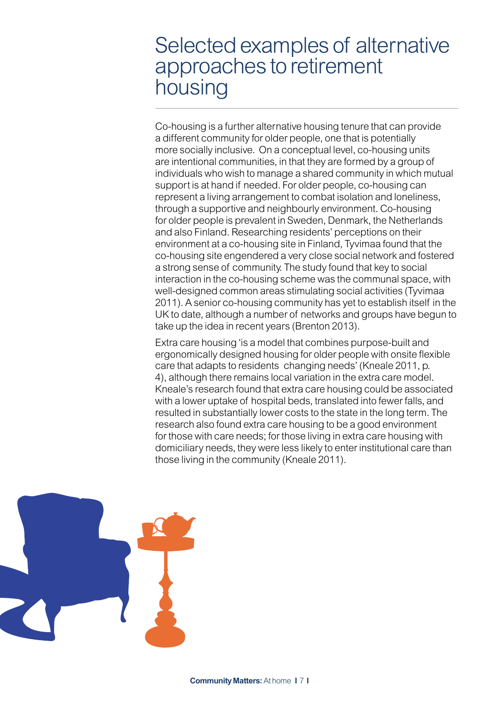#### Selected examples of alternative approaches to retirement housing

Co-housing is a further alternative housing tenure that can provide a different community for older people, one that is potentially more socially inclusive. On a conceptual level, co-housing units are intentional communities, in that they are formed by a group of individuals who wish to manage a shared community in which mutual support is at hand if needed. For older people, co-housing can represent a living arrangement to combat isolation and loneliness, through a supportive and neighbourly environment. Co-housing for older people is prevalent in Sweden, Denmark, the Netherlands and also Finland. Researching residents' perceptions on their environment at a co-housing site in Finland, Tyvimaa found that the co-housing site engendered a very close social network and fostered a strong sense of community. The study found that key to social interaction in the co-housing scheme was the communal space, with well-designed common areas stimulating social activities (Tyvimaa 2011). A senior co-housing community has yet to establish itself in the UK to date, although a number of networks and groups have begun to take up the idea in recent years (Brenton 2013).

Extra care housing 'is a model that combines purpose-built and ergonomically designed housing for older people with onsite flexible care that adapts to residents changing needs' (Kneale 2011, p. 4), although there remains local variation in the extra care model. Kneale's research found that extra care housing could be associated with a lower uptake of hospital beds, translated into fewer falls, and resulted in substantially lower costs to the state in the long term. The research also found extra care housing to be a good environment for those with care needs; for those living in extra care housing with domiciliary needs, they were less likely to enter institutional care than those living in the community (Kneale 2011).

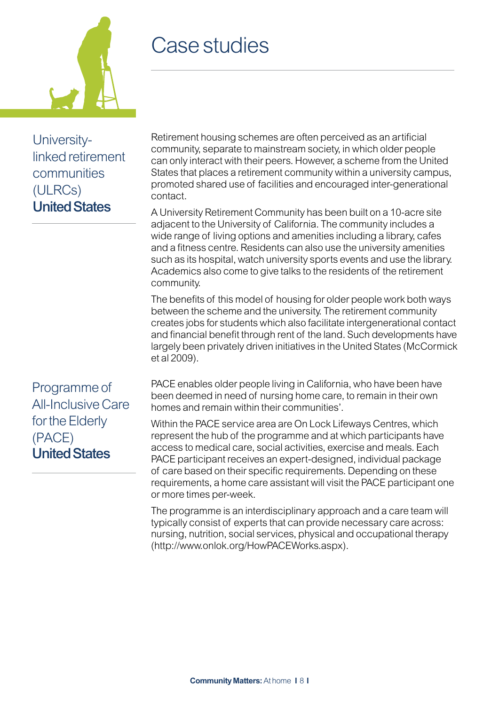

Universitylinked retirement communities (ULRCs) United States

## Case studies

Retirement housing schemes are often perceived as an artificial community, separate to mainstream society, in which older people can only interact with their peers. However, a scheme from the United States that places a retirement community within a university campus, promoted shared use of facilities and encouraged inter-generational contact.

A University Retirement Community has been built on a 10-acre site adjacent to the University of California. The community includes a wide range of living options and amenities including a library, cafes and a fitness centre. Residents can also use the university amenities such as its hospital, watch university sports events and use the library. Academics also come to give talks to the residents of the retirement community.

The benefits of this model of housing for older people work both ways between the scheme and the university. The retirement community creates jobs for students which also facilitate intergenerational contact and financial benefit through rent of the land. Such developments have largely been privately driven initiatives in the United States (McCormick et al 2009).

Programme of All-Inclusive Care for the Elderly (PACE) United States

PACE enables older people living in California, who have been have been deemed in need of nursing home care, to remain in their own homes and remain within their communities'.

Within the PACE service area are On Lock Lifeways Centres, which represent the hub of the programme and at which participants have access to medical care, social activities, exercise and meals. Each PACE participant receives an expert-designed, individual package of care based on their specific requirements. Depending on these requirements, a home care assistant will visit the PACE participant one or more times per-week.

The programme is an interdisciplinary approach and a care team will typically consist of experts that can provide necessary care across: nursing, nutrition, social services, physical and occupational therapy (http://www.onlok.org/HowPACEWorks.aspx).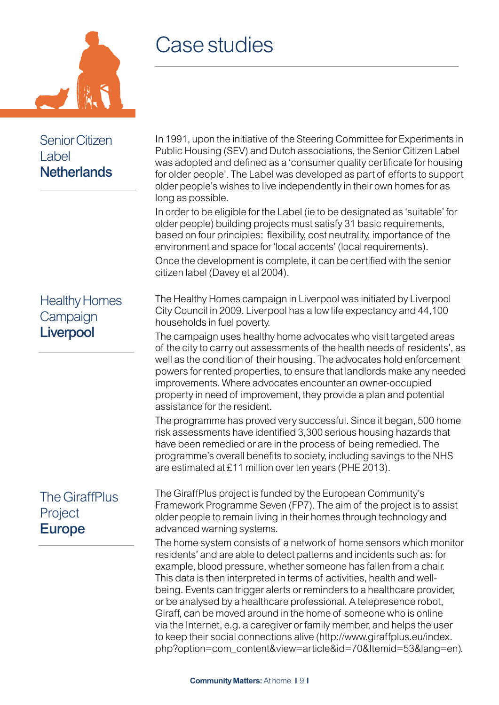

#### Senior Citizen Label **Netherlands**

#### Case studies

In 1991, upon the initiative of the Steering Committee for Experiments in Public Housing (SEV) and Dutch associations, the Senior Citizen Label was adopted and defined as a 'consumer quality certificate for housing for older people'. The Label was developed as part of efforts to support older people's wishes to live independently in their own homes for as long as possible.

In order to be eligible for the Label (ie to be designated as 'suitable' for older people) building projects must satisfy 31 basic requirements, based on four principles: flexibility, cost neutrality, importance of the environment and space for 'local accents' (local requirements). Once the development is complete, it can be certified with the senior citizen label (Davey et al 2004).

#### Healthy Homes **Campaign Liverpool**

#### The GiraffPlus Project Europe

The Healthy Homes campaign in Liverpool was initiated by Liverpool City Council in 2009. Liverpool has a low life expectancy and 44,100 households in fuel poverty.

The campaign uses healthy home advocates who visit targeted areas of the city to carry out assessments of the health needs of residents', as well as the condition of their housing. The advocates hold enforcement powers for rented properties, to ensure that landlords make any needed improvements. Where advocates encounter an owner-occupied property in need of improvement, they provide a plan and potential assistance for the resident.

The programme has proved very successful. Since it began, 500 home risk assessments have identified 3,300 serious housing hazards that have been remedied or are in the process of being remedied. The programme's overall benefits to society, including savings to the NHS are estimated at £11 million over ten years (PHE 2013).

The GiraffPlus project is funded by the European Community's Framework Programme Seven (FP7). The aim of the project is to assist older people to remain living in their homes through technology and advanced warning systems.

The home system consists of a network of home sensors which monitor residents' and are able to detect patterns and incidents such as: for example, blood pressure, whether someone has fallen from a chair. This data is then interpreted in terms of activities, health and wellbeing. Events can trigger alerts or reminders to a healthcare provider, or be analysed by a healthcare professional. A telepresence robot, Giraff, can be moved around in the home of someone who is online via the Internet, e.g. a caregiver or family member, and helps the user to keep their social connections alive (http://www.giraffplus.eu/index. php?option=com\_content&view=article&id=70&Itemid=53&lang=en).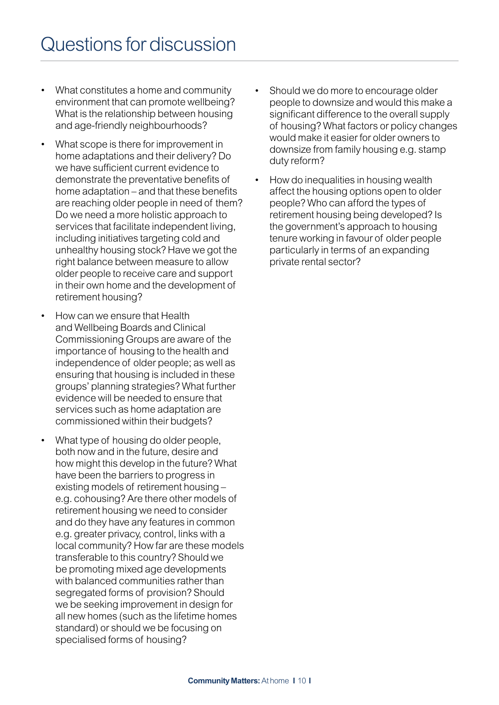- What constitutes a home and community environment that can promote wellbeing? What is the relationship between housing and age-friendly neighbourhoods?
- What scope is there for improvement in home adaptations and their delivery? Do we have sufficient current evidence to demonstrate the preventative benefits of home adaptation – and that these benefits are reaching older people in need of them? Do we need a more holistic approach to services that facilitate independent living, including initiatives targeting cold and unhealthy housing stock? Have we got the right balance between measure to allow older people to receive care and support in their own home and the development of retirement housing?
- How can we ensure that Health and Wellbeing Boards and Clinical Commissioning Groups are aware of the importance of housing to the health and independence of older people; as well as ensuring that housing is included in these groups' planning strategies? What further evidence will be needed to ensure that services such as home adaptation are commissioned within their budgets?
- What type of housing do older people, both now and in the future, desire and how might this develop in the future? What have been the barriers to progress in existing models of retirement housing – e.g. cohousing? Are there other models of retirement housing we need to consider and do they have any features in common e.g. greater privacy, control, links with a local community? How far are these models transferable to this country? Should we be promoting mixed age developments with balanced communities rather than segregated forms of provision? Should we be seeking improvement in design for all new homes (such as the lifetime homes standard) or should we be focusing on specialised forms of housing?
- Should we do more to encourage older people to downsize and would this make a significant difference to the overall supply of housing? What factors or policy changes would make it easier for older owners to downsize from family housing e.g. stamp duty reform?
- How do inequalities in housing wealth affect the housing options open to older people? Who can afford the types of retirement housing being developed? Is the government's approach to housing tenure working in favour of older people particularly in terms of an expanding private rental sector?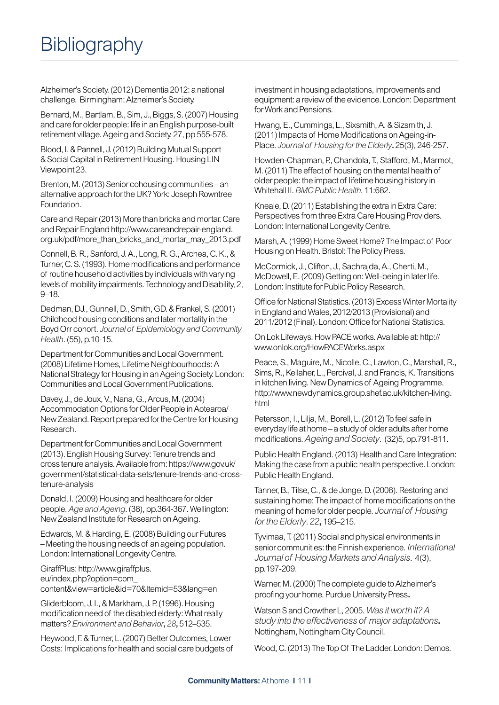Alzheimer's Society. (2012) Dementia 2012: a national challenge. Birmingham: Alzheimer's Society.

Bernard, M., Bartlam, B., Sim, J., Biggs, S. (2007) Housing and care for older people: life in an English purpose-built retirement village. Ageing and Society. 27, pp 555-578.

Blood, I. & Pannell, J. (2012) Building Mutual Support & Social Capital in Retirement Housing. Housing LIN Viewpoint 23.

Brenton, M. (2013) Senior cohousing communities – an alternative approach for the UK? York: Joseph Rowntree Foundation.

Care and Repair (2013) More than bricks and mortar. Care and Repair England http://www.careandrepair-england. org.uk/pdf/more\_than\_bricks\_and\_mortar\_may\_2013.pdf

Connell, B. R., Sanford, J. A., Long, R. G., Archea, C. K., & Turner, C. S. (1993). Home modifications and performance of routine household activities by individuals with varying levels of mobility impairments. Technology and Disability, 2, 9–18.

Dedman, DJ., Gunnell, D., Smith, GD. & Frankel, S. (2001) Childhood housing conditions and later mortality in the Boyd Orr cohort. *Journal of Epidemiology and Community Health*. (55), p.10-15.

Department for Communities and Local Government. (2008) Lifetime Homes, Lifetime Neighbourhoods: A National Strategy for Housing in an Ageing Society. London: Communities and Local Government Publications.

Davey, J., de Joux, V., Nana, G., Arcus, M. (2004) Accommodation Options for Older People in Aotearoa/ New Zealand. Report prepared for the Centre for Housing Research.

Department for Communities and Local Government (2013). English Housing Survey: Tenure trends and cross tenure analysis. Available from: https://www.gov.uk/ government/statistical-data-sets/tenure-trends-and-crosstenure-analysis

Donald, I. (2009) Housing and healthcare for older people.*Age and Ageing*. (38), pp.364-367. Wellington: New Zealand Institute for Research on Ageing.

Edwards, M. & Harding, E. (2008) Building our Futures – Meeting the housing needs of an ageing population. London: International Longevity Centre.

GiraffPlus: http://www.giraffplus. eu/index.php?option=com\_ content&view=article&id=70&Itemid=53&lang=en

Gliderbloom, J. I., & Markham, J. P. (1996). Housing modification need of the disabled elderly: What really matters?*Environment and Behavior***,** *28***,** 512–535.

Heywood, F. & Turner, L. (2007) Better Outcomes, Lower Costs: Implications for health and social care budgets of investment in housing adaptations, improvements and equipment: a review of the evidence. London: Department for Work and Pensions.

Hwang, E., Cummings, L., Sixsmith, A. & Sizsmith, J. (2011) Impacts of Home Modifications on Ageing-in-Place. *Journal of Housing for the Elderly***.** 25(3), 246-257.

Howden-Chapman, P., Chandola, T., Stafford, M., Marmot, M. (2011) The effect of housing on the mental health of older people: the impact of lifetime housing history in Whitehall II. *BMC Public Health*. 11:682.

Kneale, D. (2011) Establishing the extra in Extra Care: Perspectives from three Extra Care Housing Providers. London: International Longevity Centre.

Marsh, A. (1999) Home Sweet Home? The Impact of Poor Housing on Health. Bristol: The Policy Press.

McCormick, J., Clifton, J., Sachrajda, A., Cherti, M., McDowell, E. (2009) Getting on: Well-being in later life. London: Institute for Public Policy Research.

Office for National Statistics. (2013) Excess Winter Mortality in England and Wales, 2012/2013 (Provisional) and 2011/2012 (Final). London: Office for National Statistics.

On Lok Lifeways. How PACE works. Available at: http:// www.onlok.org/HowPACEWorks.aspx

Peace, S., Maguire, M., Nicolle, C., Lawton, C., Marshall, R., Sims, R., Kellaher, L., Percival, J. and Francis, K. Transitions in kitchen living. New Dynamics of Ageing Programme. http://www.newdynamics.group.shef.ac.uk/kitchen-living. html

Petersson, I., Lilja, M., Borell, L. (2012) To feel safe in everyday life at home – a study of older adults after home modifications.*Ageing and Society*. (32)5, pp.791-811.

Public Health England. (2013) Health and Care Integration: Making the case from a public health perspective. London: Public Health England.

Tanner, B., Tilse, C., & de Jonge, D. (2008). Restoring and sustaining home: The impact of home modifications on the meaning of home for older people. *Journal of Housing for the Elderly*. *22***,** 195–215.

Tyvimaa, T. (2011) Social and physical environments in senior communities: the Finnish experience. *International Journal of Housing Markets and Analysis*. 4(3), pp.197-209.

Warner, M. (2000) The complete guide to Alzheimer's proofing your home. Purdue University Press**.** 

Watson S and Crowther L, 2005.*Was it worth it? A study into the effectiveness of major adaptations***.**  Nottingham, Nottingham City Council.

Wood, C. (2013) The Top Of The Ladder. London: Demos.